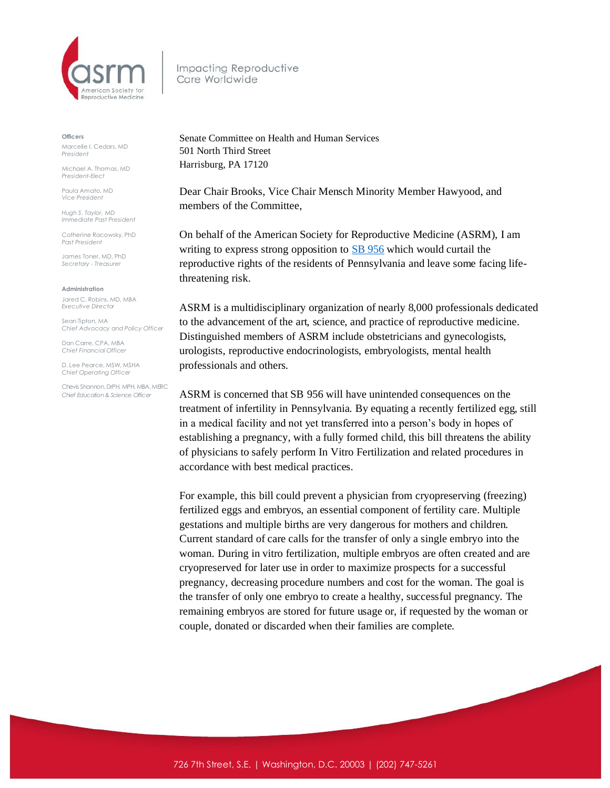

Impacting Reproductive Care Worldwide

## **Officers**

Marcelle I. Cedars, MD *President*

Michael A. Thomas, MD *President-Elect*

Paula Amato, MD *Vice President*

*Hugh S. Taylor, MD Immediate Past President*

Catherine Racowsky, PhD *Past President*

James Toner, MD, PhD *Secretary - Treasurer* 

## **Administration**

Jared C. Robins, MD, MBA *Executive Director*

Sean Tipton, MA *Chief Advocacy and Policy Officer*

Dan Carre, CPA, MBA *Chief Financial Officer*

D. Lee Pearce, MSW, MSHA *Chief Operating Officer* 

Chevis Shannon, DrPH, MPH, MBA, MERC *Chief Education & Science Officer*

Senate Committee on Health and Human Services 501 North Third Street Harrisburg, PA 17120

Dear Chair Brooks, Vice Chair Mensch Minority Member Hawyood, and members of the Committee,

On behalf of the American Society for Reproductive Medicine (ASRM), I am writing to express strong opposition t[o SB 956](https://www.legis.state.pa.us/CFDOCS/Legis/PN/Public/btCheck.cfm?txtType=HTM&sessYr=2021&sessInd=0&billBody=S&billTyp=B&billNbr=0956&pn=1286) which would curtail the reproductive rights of the residents of Pennsylvania and leave some facing lifethreatening risk.

ASRM is a multidisciplinary organization of nearly 8,000 professionals dedicated to the advancement of the art, science, and practice of reproductive medicine. Distinguished members of ASRM include obstetricians and gynecologists, urologists, reproductive endocrinologists, embryologists, mental health professionals and others.

ASRM is concerned that SB 956 will have unintended consequences on the treatment of infertility in Pennsylvania. By equating a recently fertilized egg, still in a medical facility and not yet transferred into a person's body in hopes of establishing a pregnancy, with a fully formed child, this bill threatens the ability of physicians to safely perform In Vitro Fertilization and related procedures in accordance with best medical practices.

For example, this bill could prevent a physician from cryopreserving (freezing) fertilized eggs and embryos, an essential component of fertility care. Multiple gestations and multiple births are very dangerous for mothers and children. Current standard of care calls for the transfer of only a single embryo into the woman. During in vitro fertilization, multiple embryos are often created and are cryopreserved for later use in order to maximize prospects for a successful pregnancy, decreasing procedure numbers and cost for the woman. The goal is the transfer of only one embryo to create a healthy, successful pregnancy. The remaining embryos are stored for future usage or, if requested by the woman or couple, donated or discarded when their families are complete.

726 7th Street, S.E. | Washington, D.C. 20003 | (202) 747-5261